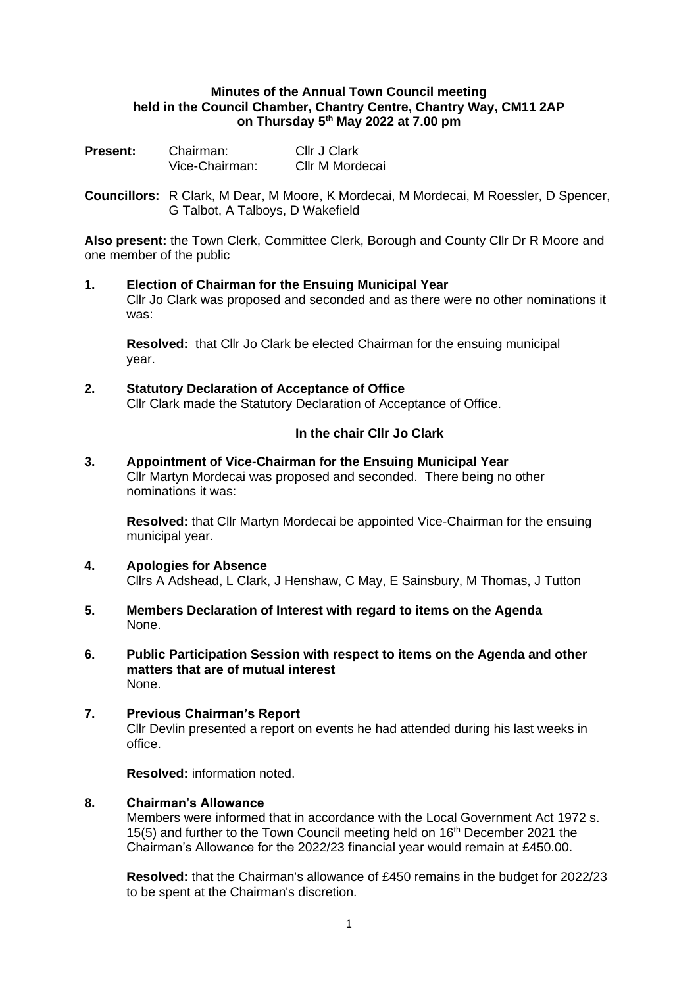### **Minutes of the Annual Town Council meeting held in the Council Chamber, Chantry Centre, Chantry Way, CM11 2AP on Thursday 5 th May 2022 at 7.00 pm**

| <b>Present:</b> | Chairman:      | Cllr J Clark    |
|-----------------|----------------|-----------------|
|                 | Vice-Chairman: | Cllr M Mordecai |

**Councillors:** R Clark, M Dear, M Moore, K Mordecai, M Mordecai, M Roessler, D Spencer, G Talbot, A Talboys, D Wakefield

**Also present:** the Town Clerk, Committee Clerk, Borough and County Cllr Dr R Moore and one member of the public

### **1. Election of Chairman for the Ensuing Municipal Year** Cllr Jo Clark was proposed and seconded and as there were no other nominations it was:

**Resolved:** that Cllr Jo Clark be elected Chairman for the ensuing municipal year.

**2. Statutory Declaration of Acceptance of Office** Cllr Clark made the Statutory Declaration of Acceptance of Office.

# **In the chair Cllr Jo Clark**

**3. Appointment of Vice-Chairman for the Ensuing Municipal Year** Cllr Martyn Mordecai was proposed and seconded. There being no other nominations it was:

**Resolved:** that Cllr Martyn Mordecai be appointed Vice-Chairman for the ensuing municipal year.

- **4. Apologies for Absence** Cllrs A Adshead, L Clark, J Henshaw, C May, E Sainsbury, M Thomas, J Tutton
- **5. Members Declaration of Interest with regard to items on the Agenda** None.
- **6. Public Participation Session with respect to items on the Agenda and other matters that are of mutual interest** None.
- **7. Previous Chairman's Report** Cllr Devlin presented a report on events he had attended during his last weeks in office.

**Resolved:** information noted.

# **8. Chairman's Allowance**

Members were informed that in accordance with the Local Government Act 1972 s. 15(5) and further to the Town Council meeting held on 16<sup>th</sup> December 2021 the Chairman's Allowance for the 2022/23 financial year would remain at £450.00.

**Resolved:** that the Chairman's allowance of £450 remains in the budget for 2022/23 to be spent at the Chairman's discretion.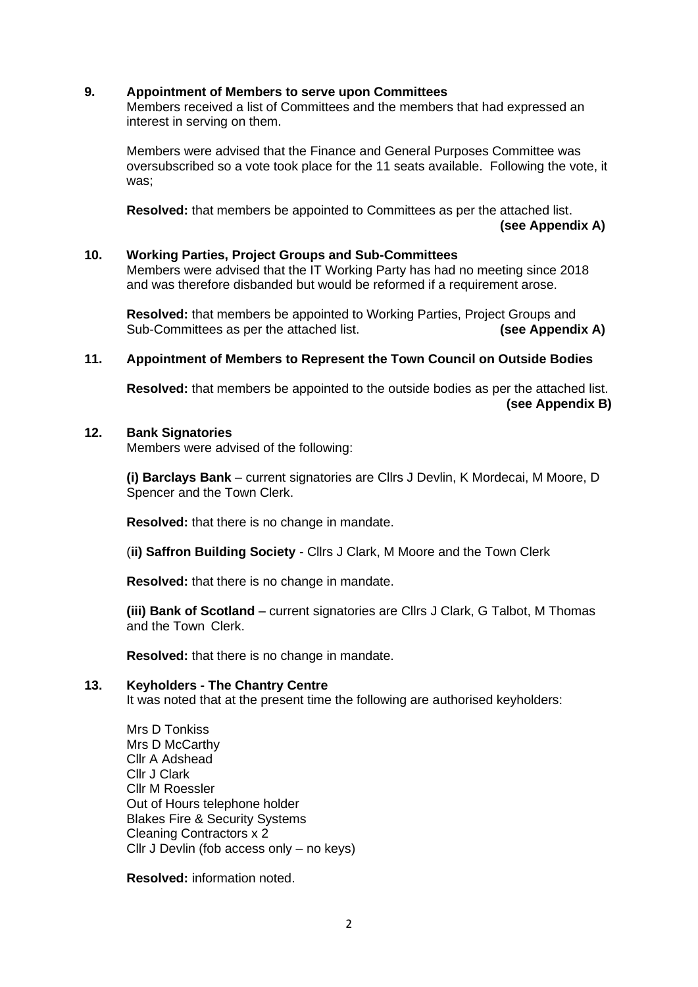## **9. Appointment of Members to serve upon Committees**

Members received a list of Committees and the members that had expressed an interest in serving on them.

Members were advised that the Finance and General Purposes Committee was oversubscribed so a vote took place for the 11 seats available. Following the vote, it was;

**Resolved:** that members be appointed to Committees as per the attached list. **(see Appendix A)** 

### **10. Working Parties, Project Groups and Sub-Committees**

Members were advised that the IT Working Party has had no meeting since 2018 and was therefore disbanded but would be reformed if a requirement arose.

**Resolved:** that members be appointed to Working Parties, Project Groups and Sub-Committees as per the attached list. **(see Appendix A)**

## **11. Appointment of Members to Represent the Town Council on Outside Bodies**

**Resolved:** that members be appointed to the outside bodies as per the attached list. **(see Appendix B)**

# **12. Bank Signatories**

Members were advised of the following:

**(i) Barclays Bank** – current signatories are Cllrs J Devlin, K Mordecai, M Moore, D Spencer and the Town Clerk.

**Resolved:** that there is no change in mandate.

(**ii) Saffron Building Society** - Cllrs J Clark, M Moore and the Town Clerk

**Resolved:** that there is no change in mandate.

**(iii) Bank of Scotland** – current signatories are Cllrs J Clark, G Talbot, M Thomas and the Town Clerk.

**Resolved:** that there is no change in mandate.

# **13. Keyholders - The Chantry Centre**

It was noted that at the present time the following are authorised keyholders:

Mrs D Tonkiss Mrs D McCarthy Cllr A Adshead Cllr J Clark Cllr M Roessler Out of Hours telephone holder Blakes Fire & Security Systems Cleaning Contractors x 2 Cllr J Devlin (fob access only – no keys)

**Resolved:** information noted.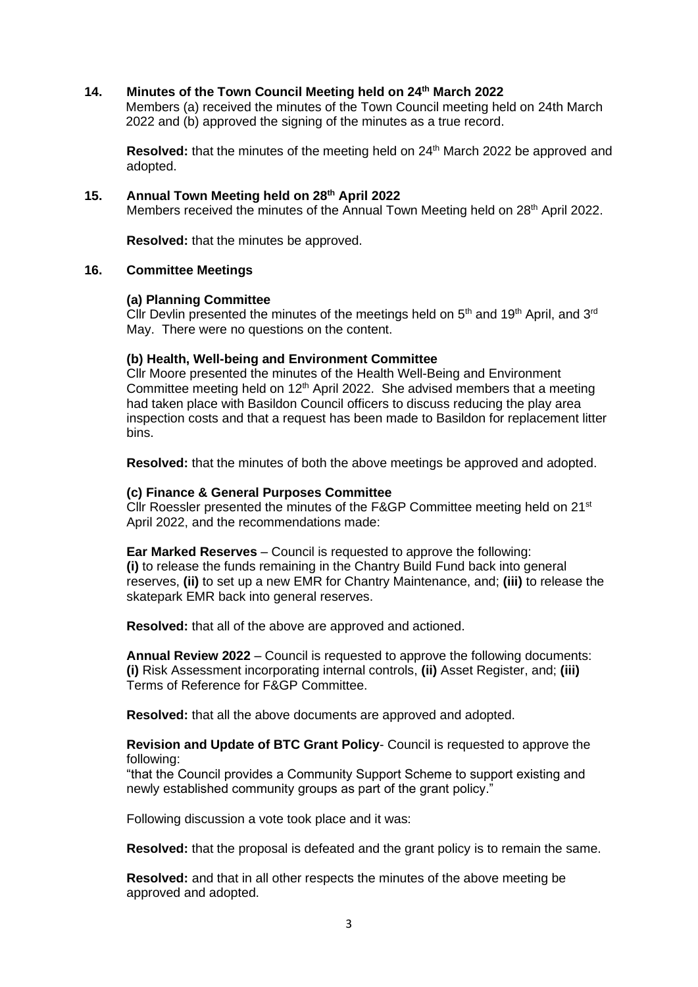## **14. Minutes of the Town Council Meeting held on 24th March 2022**

Members (a) received the minutes of the Town Council meeting held on 24th March 2022 and (b) approved the signing of the minutes as a true record.

**Resolved:** that the minutes of the meeting held on 24<sup>th</sup> March 2022 be approved and adopted.

# **15. Annual Town Meeting held on 28th April 2022**

Members received the minutes of the Annual Town Meeting held on 28<sup>th</sup> April 2022.

**Resolved:** that the minutes be approved.

### **16. Committee Meetings**

#### **(a) Planning Committee**

Cllr Devlin presented the minutes of the meetings held on  $5<sup>th</sup>$  and  $19<sup>th</sup>$  April, and  $3<sup>rd</sup>$ May. There were no questions on the content.

#### **(b) Health, Well-being and Environment Committee**

Cllr Moore presented the minutes of the Health Well-Being and Environment Committee meeting held on  $12<sup>th</sup>$  April 2022. She advised members that a meeting had taken place with Basildon Council officers to discuss reducing the play area inspection costs and that a request has been made to Basildon for replacement litter bins.

**Resolved:** that the minutes of both the above meetings be approved and adopted.

#### **(c) Finance & General Purposes Committee**

Cllr Roessler presented the minutes of the F&GP Committee meeting held on 21<sup>st</sup> April 2022, and the recommendations made:

**Ear Marked Reserves** – Council is requested to approve the following: **(i)** to release the funds remaining in the Chantry Build Fund back into general reserves, **(ii)** to set up a new EMR for Chantry Maintenance, and; **(iii)** to release the skatepark EMR back into general reserves.

**Resolved:** that all of the above are approved and actioned.

**Annual Review 2022** – Council is requested to approve the following documents: **(i)** Risk Assessment incorporating internal controls, **(ii)** Asset Register, and; **(iii)** Terms of Reference for F&GP Committee.

**Resolved:** that all the above documents are approved and adopted.

### **Revision and Update of BTC Grant Policy**- Council is requested to approve the following:

"that the Council provides a Community Support Scheme to support existing and newly established community groups as part of the grant policy."

Following discussion a vote took place and it was:

**Resolved:** that the proposal is defeated and the grant policy is to remain the same.

**Resolved:** and that in all other respects the minutes of the above meeting be approved and adopted.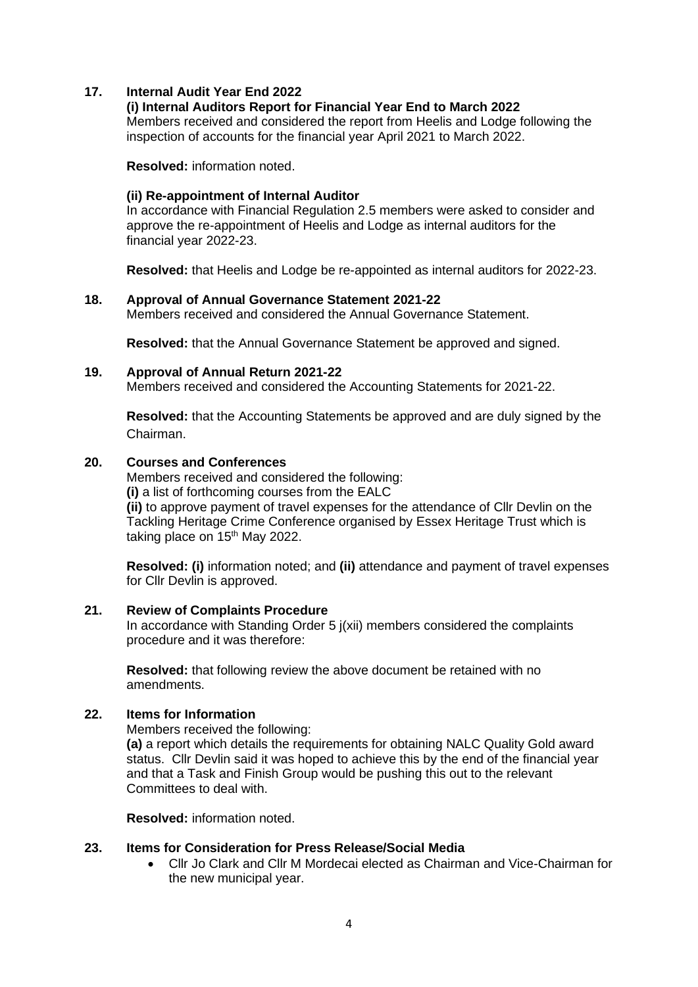# **17. Internal Audit Year End 2022**

## **(i) Internal Auditors Report for Financial Year End to March 2022**

Members received and considered the report from Heelis and Lodge following the inspection of accounts for the financial year April 2021 to March 2022.

**Resolved:** information noted.

# **(ii) Re-appointment of Internal Auditor**

In accordance with Financial Regulation 2.5 members were asked to consider and approve the re-appointment of Heelis and Lodge as internal auditors for the financial year 2022-23.

**Resolved:** that Heelis and Lodge be re-appointed as internal auditors for 2022-23.

## **18. Approval of Annual Governance Statement 2021-22**

Members received and considered the Annual Governance Statement.

**Resolved:** that the Annual Governance Statement be approved and signed.

## **19. Approval of Annual Return 2021-22**

Members received and considered the Accounting Statements for 2021-22.

**Resolved:** that the Accounting Statements be approved and are duly signed by the Chairman.

## **20. Courses and Conferences**

Members received and considered the following: **(i)** a list of forthcoming courses from the EALC **(ii)** to approve payment of travel expenses for the attendance of Cllr Devlin on the Tackling Heritage Crime Conference organised by Essex Heritage Trust which is taking place on  $15<sup>th</sup>$  May 2022.

**Resolved: (i)** information noted; and **(ii)** attendance and payment of travel expenses for Cllr Devlin is approved.

## **21. Review of Complaints Procedure**

In accordance with Standing Order 5 j(xii) members considered the complaints procedure and it was therefore:

**Resolved:** that following review the above document be retained with no amendments.

# **22. Items for Information**

Members received the following:

**(a)** a report which details the requirements for obtaining NALC Quality Gold award status. Cllr Devlin said it was hoped to achieve this by the end of the financial year and that a Task and Finish Group would be pushing this out to the relevant Committees to deal with.

**Resolved:** information noted.

### **23. Items for Consideration for Press Release/Social Media**

• Cllr Jo Clark and Cllr M Mordecai elected as Chairman and Vice-Chairman for the new municipal year.